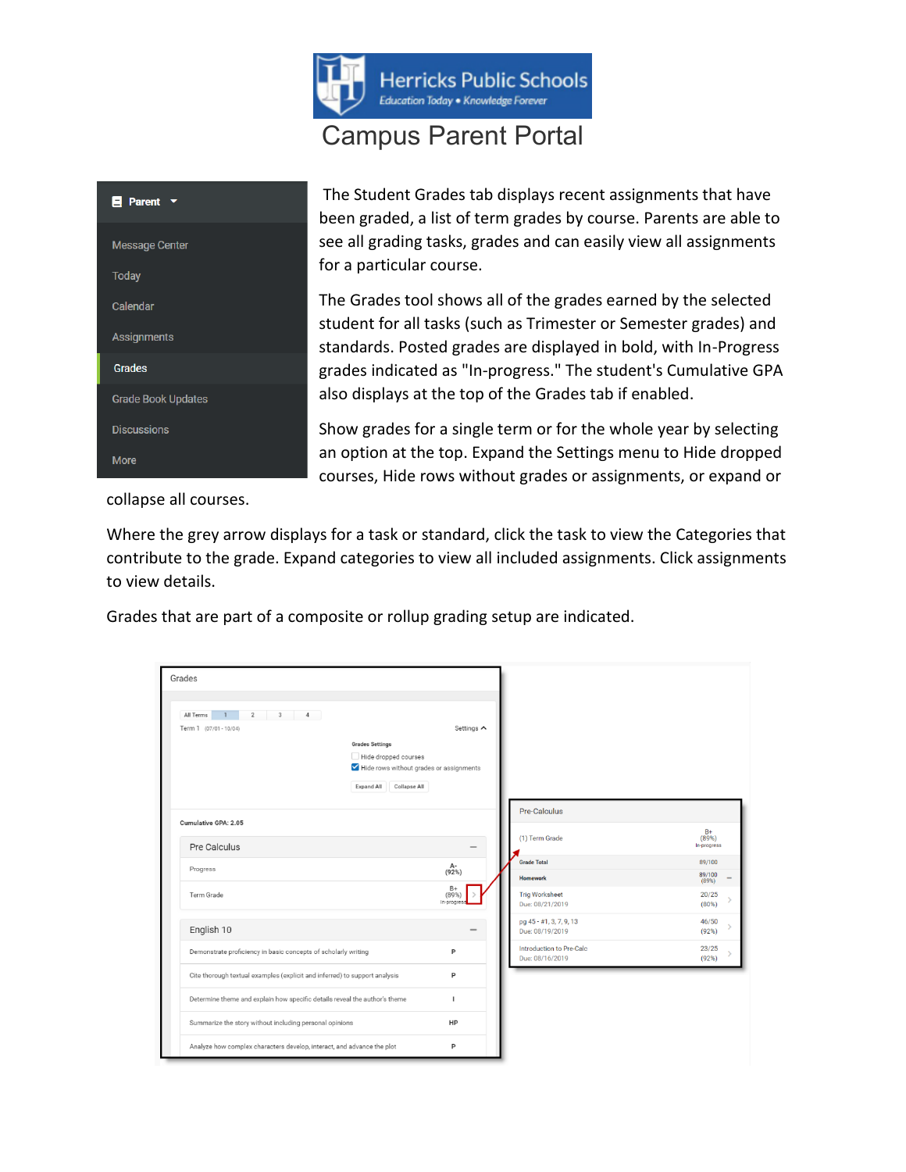

## Campus Parent Portal



The Student Grades tab displays recent assignments that have been graded, a list of term grades by course. Parents are able to see all grading tasks, grades and can easily view all assignments for a particular course.

The Grades tool shows all of the grades earned by the selected student for all tasks (such as Trimester or Semester grades) and standards. Posted grades are displayed in bold, with In-Progress grades indicated as "In-progress." The student's Cumulative GPA also displays at the top of the Grades tab if enabled.

Show grades for a single term or for the whole year by selecting an option at the top. Expand the Settings menu to Hide dropped courses, Hide rows without grades or assignments, or expand or

collapse all courses.

Where the grey arrow displays for a task or standard, click the task to view the Categories that contribute to the grade. Expand categories to view all included assignments. Click assignments to view details.

Grades that are part of a composite or rollup grading setup are indicated.

| Grades                                                                     |                                                                                                       |                                    |                                             |                          |
|----------------------------------------------------------------------------|-------------------------------------------------------------------------------------------------------|------------------------------------|---------------------------------------------|--------------------------|
| All Terms<br>$\mathbf{1}$<br>$\overline{2}$<br>Term 1 (07/01 - 10/04)      | $3 \t 4$<br><b>Grades Settings</b><br>Hide dropped courses<br>Hide rows without grades or assignments | Settings A                         |                                             |                          |
| Cumulative GPA: 2.05                                                       | Collapse All<br>Expand All                                                                            |                                    | Pre-Calculus                                | $rac{B+}{(89%)}$         |
| Pre Calculus                                                               |                                                                                                       |                                    | (1) Term Grade<br><b>Grade Total</b>        | In-progress<br>89/100    |
| Progress<br>Term Grade                                                     |                                                                                                       | $A -$<br>(92%)<br>$rac{B+}{(89%)}$ | <b>Homework</b><br><b>Trig Worksheet</b>    | 89/100<br>(89%)<br>20/25 |
|                                                                            |                                                                                                       | In-progres                         | Due: 08/21/2019<br>pg 45 - #1, 3, 7, 9, 13  | (80%)<br>46/50           |
| English 10                                                                 |                                                                                                       |                                    | Due: 08/19/2019                             | (92%)                    |
| Demonstrate proficiency in basic concepts of scholarly writing             |                                                                                                       | P                                  | Introduction to Pre-Calc<br>Due: 08/16/2019 | 23/25<br>(92%)           |
| Cite thorough textual examples (explicit and inferred) to support analysis |                                                                                                       | P                                  |                                             |                          |
| Determine theme and explain how specific details reveal the author's theme |                                                                                                       | $\mathbf{I}$                       |                                             |                          |
|                                                                            | Summarize the story without including personal opinions                                               |                                    |                                             |                          |
|                                                                            | Analyze how complex characters develop, interact, and advance the plot                                |                                    |                                             |                          |